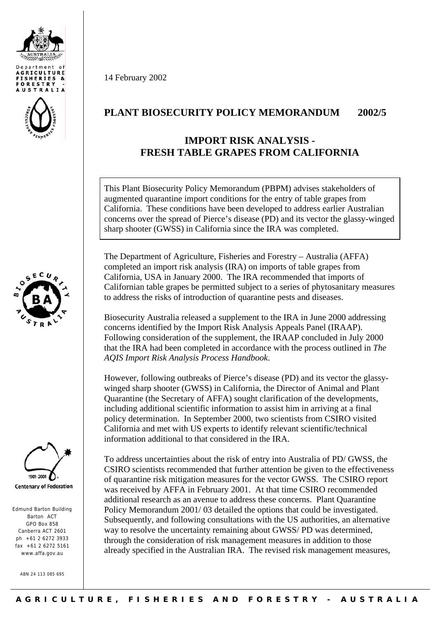







Edmund Barton Building Barton ACT GPO Box 858 Canberra ACT 2601  $nh +61$  2 6272 3933 fax +61 2 6272 5161 www.affa.gov.au

ABN 24 113 085 695

14 February 2002

## **PLANT BIOSECURITY POLICY MEMORANDUM 2002/5**

## **IMPORT RISK ANALYSIS - FRESH TABLE GRAPES FROM CALIFORNIA**

This Plant Biosecurity Policy Memorandum (PBPM) advises stakeholders of augmented quarantine import conditions for the entry of table grapes from California. These conditions have been developed to address earlier Australian concerns over the spread of Pierce's disease (PD) and its vector the glassy-winged sharp shooter (GWSS) in California since the IRA was completed.

The Department of Agriculture, Fisheries and Forestry – Australia (AFFA) completed an import risk analysis (IRA) on imports of table grapes from California, USA in January 2000. The IRA recommended that imports of Californian table grapes be permitted subject to a series of phytosanitary measures to address the risks of introduction of quarantine pests and diseases.

Biosecurity Australia released a supplement to the IRA in June 2000 addressing concerns identified by the Import Risk Analysis Appeals Panel (IRAAP). Following consideration of the supplement, the IRAAP concluded in July 2000 that the IRA had been completed in accordance with the process outlined in *The AQIS Import Risk Analysis Process Handbook*.

However, following outbreaks of Pierce's disease (PD) and its vector the glassywinged sharp shooter (GWSS) in California, the Director of Animal and Plant Quarantine (the Secretary of AFFA) sought clarification of the developments, including additional scientific information to assist him in arriving at a final policy determination. In September 2000, two scientists from CSIRO visited California and met with US experts to identify relevant scientific/technical information additional to that considered in the IRA.

To address uncertainties about the risk of entry into Australia of PD/ GWSS, the CSIRO scientists recommended that further attention be given to the effectiveness of quarantine risk mitigation measures for the vector GWSS. The CSIRO report was received by AFFA in February 2001. At that time CSIRO recommended additional research as an avenue to address these concerns. Plant Quarantine Policy Memorandum 2001/ 03 detailed the options that could be investigated. Subsequently, and following consultations with the US authorities, an alternative way to resolve the uncertainty remaining about GWSS/ PD was determined, through the consideration of risk management measures in addition to those already specified in the Australian IRA. The revised risk management measures,